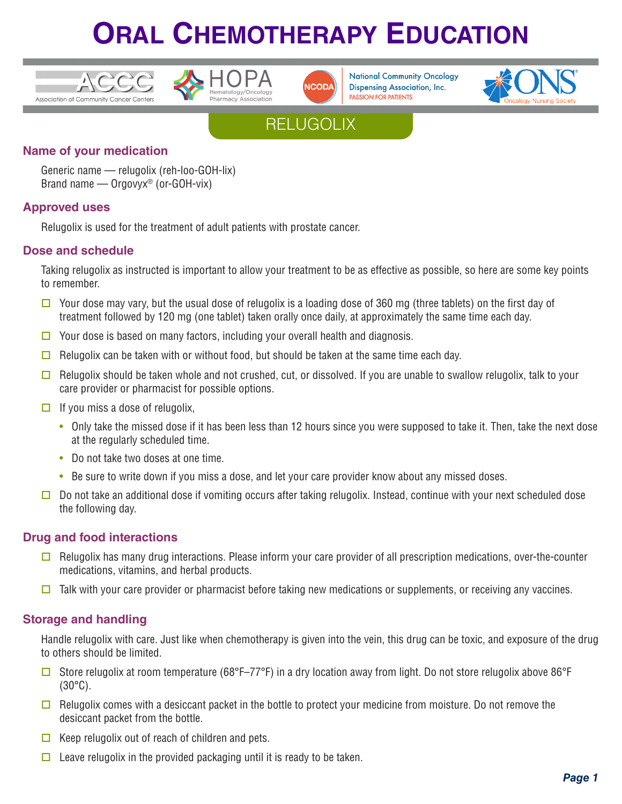





**National Community Oncology Dispensing Association, Inc. PASSION FOR PATIENTS** 





### **Name of your medication**

Generic name — relugolix (reh-loo-GOH-lix) Brand name — Orgovyx® (or-GOH-vix)

### **Approved uses**

Relugolix is used for the treatment of adult patients with prostate cancer.

### **Dose and schedule**

Taking relugolix as instructed is important to allow your treatment to be as effective as possible, so here are some key points to remember.

- $\Box$  Your dose may vary, but the usual dose of relugolix is a loading dose of 360 mg (three tablets) on the first day of treatment followed by 120 mg (one tablet) taken orally once daily, at approximately the same time each day.
- $\Box$  Your dose is based on many factors, including your overall health and diagnosis.
- $\Box$  Relugolix can be taken with or without food, but should be taken at the same time each day.
- $\Box$  Relugolix should be taken whole and not crushed, cut, or dissolved. If you are unable to swallow relugolix, talk to your care provider or pharmacist for possible options.
- $\Box$  If you miss a dose of relugolix,
	- Only take the missed dose if it has been less than 12 hours since you were supposed to take it. Then, take the next dose at the regularly scheduled time.
	- Do not take two doses at one time.
	- Be sure to write down if you miss a dose, and let your care provider know about any missed doses.
- $\Box$  Do not take an additional dose if vomiting occurs after taking relugolix. Instead, continue with your next scheduled dose the following day.

#### **Drug and food interactions**

- $\Box$  Relugolix has many drug interactions. Please inform your care provider of all prescription medications, over-the-counter medications, vitamins, and herbal products.
- $\Box$  Talk with your care provider or pharmacist before taking new medications or supplements, or receiving any vaccines.

#### **Storage and handling**

Handle relugolix with care. Just like when chemotherapy is given into the vein, this drug can be toxic, and exposure of the drug to others should be limited.

- Store relugolix at room temperature (68°F–77°F) in a dry location away from light. Do not store relugolix above 86°F  $(30^{\circ}C)$ .
- $\Box$  Relugolix comes with a desiccant packet in the bottle to protect your medicine from moisture. Do not remove the desiccant packet from the bottle.
- $\Box$  Keep relugolix out of reach of children and pets.
- $\Box$  Leave relugolix in the provided packaging until it is ready to be taken.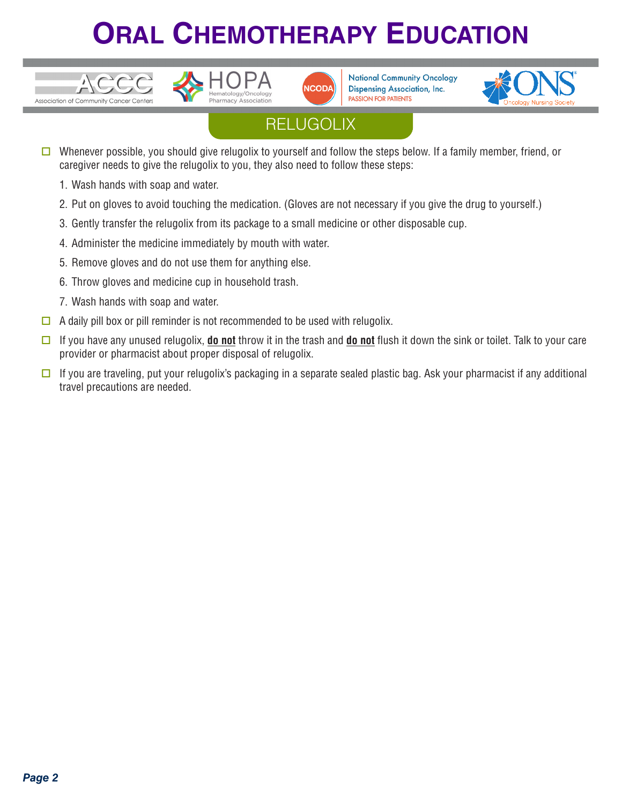



**National Community Oncology Dispensing Association, Inc. PASSION FOR PATIENTS** 



## **RELUGOLIX**

- Whenever possible, you should give relugolix to yourself and follow the steps below. If a family member, friend, or caregiver needs to give the relugolix to you, they also need to follow these steps:
	- 1. Wash hands with soap and water.

 $\lambda$  $\epsilon$ 

Association of Community Cancer Centers

- 2. Put on gloves to avoid touching the medication. (Gloves are not necessary if you give the drug to yourself.)
- 3. Gently transfer the relugolix from its package to a small medicine or other disposable cup.
- 4. Administer the medicine immediately by mouth with water.
- 5. Remove gloves and do not use them for anything else.
- 6. Throw gloves and medicine cup in household trash.
- 7. Wash hands with soap and water.
- $\Box$  A daily pill box or pill reminder is not recommended to be used with relugolix.
- **□** If you have any unused relugolix, **do not** throw it in the trash and **do not** flush it down the sink or toilet. Talk to your care provider or pharmacist about proper disposal of relugolix.
- $\square$  If you are traveling, put your relugolix's packaging in a separate sealed plastic bag. Ask your pharmacist if any additional travel precautions are needed.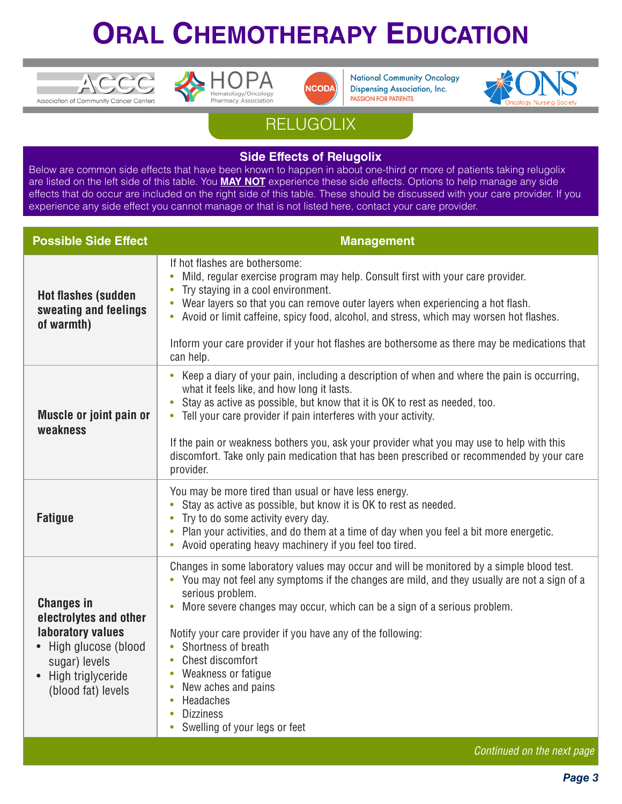





**National Community Oncology Dispensing Association, Inc. PASSION FOR PATIENTS** 



## **RELUGOLIX**

#### **Side Effects of Relugolix**

Below are common side effects that have been known to happen in about one-third or more of patients taking relugolix are listed on the left side of this table. You **MAY NOT** experience these side effects. Options to help manage any side effects that do occur are included on the right side of this table. These should be discussed with your care provider. If you experience any side effect you cannot manage or that is not listed here, contact your care provider.

| <b>Possible Side Effect</b>                                                                                                                         | <b>Management</b>                                                                                                                                                                                                                                                                                                                                                                                                                                                                                                                                                            |
|-----------------------------------------------------------------------------------------------------------------------------------------------------|------------------------------------------------------------------------------------------------------------------------------------------------------------------------------------------------------------------------------------------------------------------------------------------------------------------------------------------------------------------------------------------------------------------------------------------------------------------------------------------------------------------------------------------------------------------------------|
| <b>Hot flashes (sudden</b><br>sweating and feelings<br>of warmth)                                                                                   | If hot flashes are bothersome:<br>Mild, regular exercise program may help. Consult first with your care provider.<br>$\bullet$<br>Try staying in a cool environment.<br>• Wear layers so that you can remove outer layers when experiencing a hot flash.<br>• Avoid or limit caffeine, spicy food, alcohol, and stress, which may worsen hot flashes.<br>Inform your care provider if your hot flashes are bothersome as there may be medications that<br>can help.                                                                                                          |
| <b>Muscle or joint pain or</b><br>weakness                                                                                                          | • Keep a diary of your pain, including a description of when and where the pain is occurring,<br>what it feels like, and how long it lasts.<br>Stay as active as possible, but know that it is OK to rest as needed, too.<br>• Tell your care provider if pain interferes with your activity.<br>If the pain or weakness bothers you, ask your provider what you may use to help with this<br>discomfort. Take only pain medication that has been prescribed or recommended by your care<br>provider.                                                                        |
| <b>Fatigue</b>                                                                                                                                      | You may be more tired than usual or have less energy.<br>Stay as active as possible, but know it is OK to rest as needed.<br>Try to do some activity every day.<br>$\bullet$<br>Plan your activities, and do them at a time of day when you feel a bit more energetic.<br>• Avoid operating heavy machinery if you feel too tired.                                                                                                                                                                                                                                           |
| <b>Changes in</b><br>electrolytes and other<br>laboratory values<br>High glucose (blood<br>sugar) levels<br>High triglyceride<br>(blood fat) levels | Changes in some laboratory values may occur and will be monitored by a simple blood test.<br>• You may not feel any symptoms if the changes are mild, and they usually are not a sign of a<br>serious problem.<br>More severe changes may occur, which can be a sign of a serious problem.<br>$\bullet$<br>Notify your care provider if you have any of the following:<br>Shortness of breath<br>• Chest discomfort<br>Weakness or fatigue<br>$\bullet$<br>New aches and pains<br>• Headaches<br><b>Dizziness</b><br>$\bullet$<br>Swelling of your legs or feet<br>$\bullet$ |
| Continued on the next page                                                                                                                          |                                                                                                                                                                                                                                                                                                                                                                                                                                                                                                                                                                              |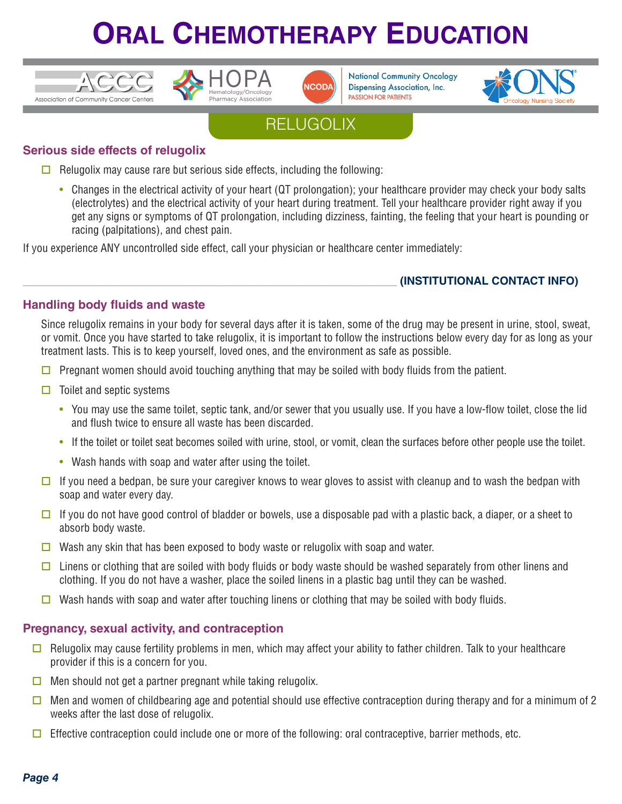



**National Community Oncology Dispensing Association, Inc. PASSION FOR PATIENTS** 



## **RELUGOLIX**

### **Serious side effects of relugolix**

 $VCCC$ 

Association of Community Cancer Center

- $\Box$  Relugolix may cause rare but serious side effects, including the following:
	- Changes in the electrical activity of your heart (QT prolongation); your healthcare provider may check your body salts (electrolytes) and the electrical activity of your heart during treatment. Tell your healthcare provider right away if you get any signs or symptoms of QT prolongation, including dizziness, fainting, the feeling that your heart is pounding or racing (palpitations), and chest pain.

If you experience ANY uncontrolled side effect, call your physician or healthcare center immediately:

### \_\_\_\_\_\_\_\_\_\_\_\_\_\_\_\_\_\_\_\_\_\_\_\_\_\_\_\_\_\_\_\_\_\_\_\_\_\_\_\_\_\_\_\_\_\_\_\_\_\_\_\_\_\_\_\_\_\_\_\_\_\_\_\_\_\_\_ **(INSTITUTIONAL CONTACT INFO)**

### **Handling body fluids and waste**

Since relugolix remains in your body for several days after it is taken, some of the drug may be present in urine, stool, sweat, or vomit. Once you have started to take relugolix, it is important to follow the instructions below every day for as long as your treatment lasts. This is to keep yourself, loved ones, and the environment as safe as possible.

- $\Box$  Pregnant women should avoid touching anything that may be soiled with body fluids from the patient.
- $\Box$  Toilet and septic systems
	- You may use the same toilet, septic tank, and/or sewer that you usually use. If you have a low-flow toilet, close the lid and flush twice to ensure all waste has been discarded.
	- If the toilet or toilet seat becomes soiled with urine, stool, or vomit, clean the surfaces before other people use the toilet.
	- Wash hands with soap and water after using the toilet.
- $\Box$  If you need a bedpan, be sure your caregiver knows to wear gloves to assist with cleanup and to wash the bedpan with soap and water every day.
- $\Box$  If you do not have good control of bladder or bowels, use a disposable pad with a plastic back, a diaper, or a sheet to absorb body waste.
- **D** Wash any skin that has been exposed to body waste or relugolix with soap and water.
- $\Box$  Linens or clothing that are soiled with body fluids or body waste should be washed separately from other linens and clothing. If you do not have a washer, place the soiled linens in a plastic bag until they can be washed.
- Wash hands with soap and water after touching linens or clothing that may be soiled with body fluids.

### **Pregnancy, sexual activity, and contraception**

- $\Box$  Relugolix may cause fertility problems in men, which may affect your ability to father children. Talk to your healthcare provider if this is a concern for you.
- $\Box$  Men should not get a partner pregnant while taking relugolix.
- $\Box$  Men and women of childbearing age and potential should use effective contraception during therapy and for a minimum of 2 weeks after the last dose of relugolix.
- $\Box$  Effective contraception could include one or more of the following: oral contraceptive, barrier methods, etc.